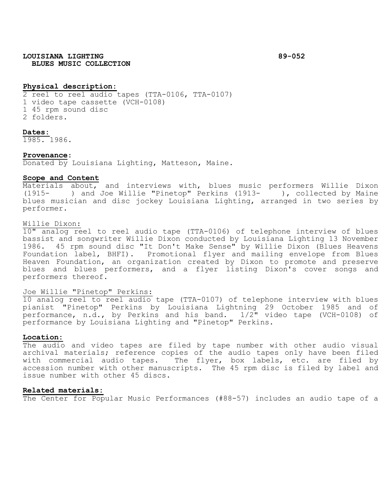# **LOUISIANA LIGHTING 89-052 BLUES MUSIC COLLECTION**

### **Physical description:**

2 reel to reel audio tapes (TTA-0106, TTA-0107) 1 video tape cassette (VCH-0108) 1 45 rpm sound disc 2 folders.

#### **Dates:**

1985. 1986.

### **Provenance**:

Donated by Louisiana Lighting, Matteson, Maine.

#### **Scope and Content**

Materials about, and interviews with, blues music performers Willie Dixon (1915- ) and Joe Willie "Pinetop" Perkins (1913- ), collected by Maine blues musician and disc jockey Louisiana Lighting, arranged in two series by performer.

#### Willie Dixon:

10" analog reel to reel audio tape (TTA-0106) of telephone interview of blues bassist and songwriter Willie Dixon conducted by Louisiana Lighting 13 November 1986. 45 rpm sound disc "It Don't Make Sense" by Willie Dixon (Blues Heavens Foundation label, BHFI). Promotional flyer and mailing envelope from Blues Heaven Foundation, an organization created by Dixon to promote and preserve blues and blues performers, and a flyer listing Dixon's cover songs and performers thereof.

#### Joe Willie "Pinetop" Perkins:

10 analog reel to reel audio tape (TTA-0107) of telephone interview with blues pianist "Pinetop" Perkins by Louisiana Lightning 29 October 1985 and of performance, n.d., by Perkins and his band. 1/2" video tape (VCH-0108) of performance by Louisiana Lighting and "Pinetop" Perkins.

## **Location:**

The audio and video tapes are filed by tape number with other audio visual archival materials; reference copies of the audio tapes only have been filed with commercial audio tapes. The flyer, box labels, etc. are filed by accession number with other manuscripts. The 45 rpm disc is filed by label and issue number with other 45 discs.

#### **Related materials:**

The Center for Popular Music Performances (#88-57) includes an audio tape of a